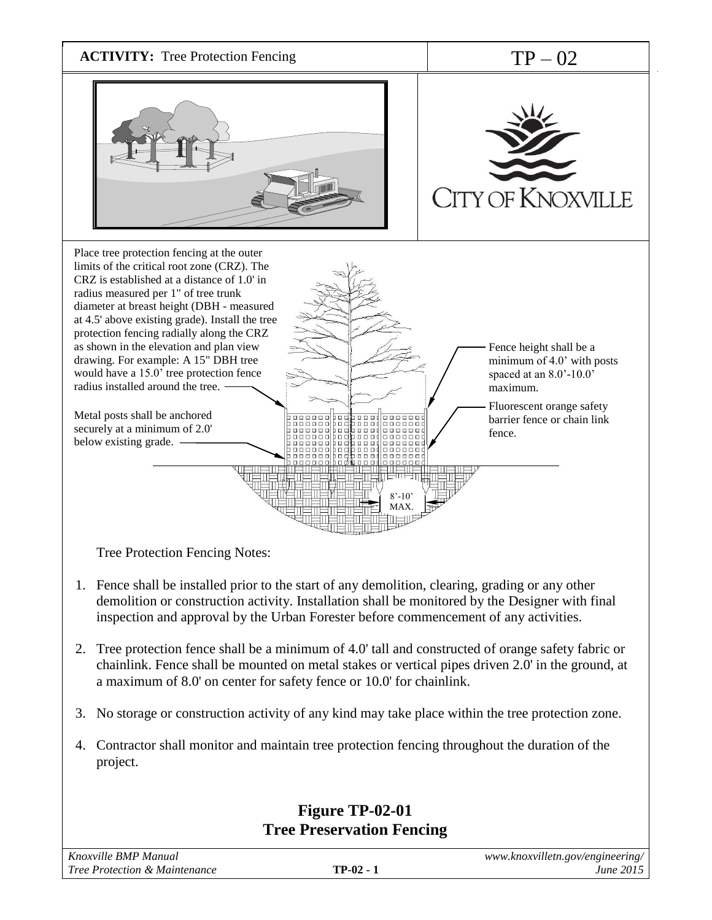

- 2. Tree protection fence shall be a minimum of 4.0' tall and constructed of orange safety fabric or chainlink. Fence shall be mounted on metal stakes or vertical pipes driven 2.0' in the ground, at a maximum of 8.0' on center for safety fence or 10.0' for chainlink.
- 3. No storage or construction activity of any kind may take place within the tree protection zone.
- 4. Contractor shall monitor and maintain tree protection fencing throughout the duration of the project.

## **Figure TP-02-01 Tree Preservation Fencing**

| Knoxville BMP Manual          |             | www.knoxvilletn.gov/engineering/ |
|-------------------------------|-------------|----------------------------------|
| Tree Protection & Maintenance | $TP-02 - 1$ | <i>June 2015</i>                 |